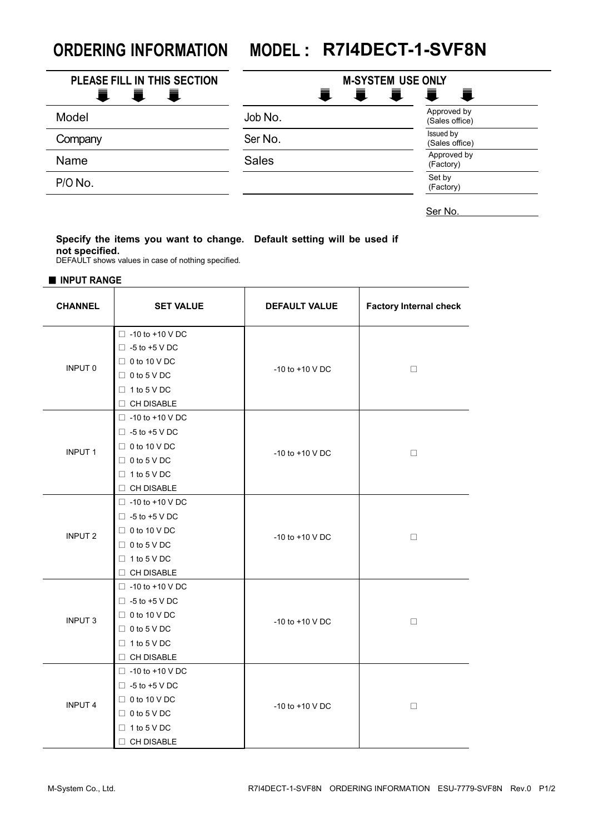## **ORDERING INFORMATION MODEL : R7I4DECT-1-SVF8N**

| PLEASE FILL IN THIS SECTION<br>一直<br>■<br>- ≣L | <b>M-SYSTEM USE ONLY</b><br>量。<br>量<br>真<br>量 |                               |
|------------------------------------------------|-----------------------------------------------|-------------------------------|
| Model                                          | Job No.                                       | Approved by<br>(Sales office) |
| Company                                        | Ser No.                                       | Issued by<br>(Sales office)   |
| Name                                           | <b>Sales</b>                                  | Approved by<br>(Factory)      |
| P/O No.                                        |                                               | Set by<br>(Factory)           |

Ser No.

## **Specify the items you want to change. Default setting will be used if not specified.**

DEFAULT shows values in case of nothing specified.

■ **INPUT RANGE**

| <b>CHANNEL</b> | <b>SET VALUE</b>                                                                                                                       | <b>DEFAULT VALUE</b> | <b>Factory Internal check</b> |
|----------------|----------------------------------------------------------------------------------------------------------------------------------------|----------------------|-------------------------------|
| <b>INPUT 0</b> | $\Box$ -10 to +10 V DC<br>$\Box$ -5 to +5 V DC<br>$\Box$ 0 to 10 V DC<br>$\Box$ 0 to 5 V DC<br>$\Box$ 1 to 5 V DC<br>$\Box$ CH DISABLE | $-10$ to $+10$ V DC  | $\Box$                        |
| <b>INPUT 1</b> | $\Box$ -10 to +10 V DC<br>$\Box$ -5 to +5 V DC<br>$\Box$ 0 to 10 V DC<br>$\Box$ 0 to 5 V DC<br>$\Box$ 1 to 5 V DC<br>$\Box$ CH DISABLE | $-10$ to $+10$ V DC  | $\Box$                        |
| <b>INPUT 2</b> | $\Box$ -10 to +10 V DC<br>$\Box$ -5 to +5 V DC<br>$\Box$ 0 to 10 V DC<br>$\Box$ 0 to 5 V DC<br>$\Box$ 1 to 5 V DC<br>$\Box$ CH DISABLE | $-10$ to $+10$ V DC  | $\Box$                        |
| <b>INPUT 3</b> | $\Box$ -10 to +10 V DC<br>$\Box$ -5 to +5 V DC<br>$\Box$ 0 to 10 V DC<br>$\Box$ 0 to 5 V DC<br>$\Box$ 1 to 5 V DC<br>$\Box$ CH DISABLE | $-10$ to $+10$ V DC  | $\Box$                        |
| <b>INPUT 4</b> | $\Box$ -10 to +10 V DC<br>$\Box$ -5 to +5 V DC<br>$\Box$ 0 to 10 V DC<br>$\Box$ 0 to 5 V DC<br>$\Box$ 1 to 5 V DC<br>$\Box$ CH DISABLE | $-10$ to $+10$ V DC  | $\Box$                        |